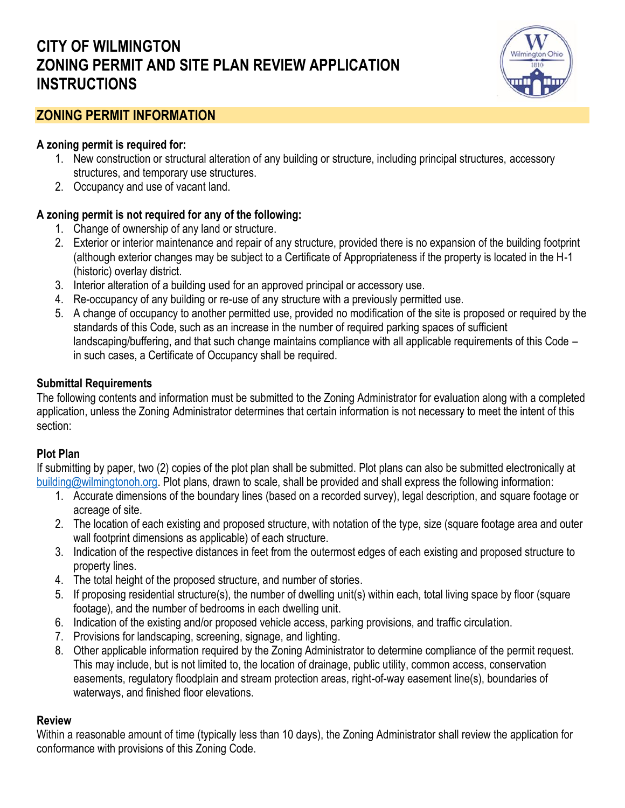# **CITY OF WILMINGTON ZONING PERMIT AND SITE PLAN REVIEW APPLICATION INSTRUCTIONS**



## **ZONING PERMIT INFORMATION**

#### **A zoning permit is required for:**

- 1. New construction or structural alteration of any building or structure, including principal structures, accessory structures, and temporary use structures.
- 2. Occupancy and use of vacant land.

## **A zoning permit is not required for any of the following:**

- 1. Change of ownership of any land or structure.
- 2. Exterior or interior maintenance and repair of any structure, provided there is no expansion of the building footprint (although exterior changes may be subject to a Certificate of Appropriateness if the property is located in the H-1 (historic) overlay district.
- 3. Interior alteration of a building used for an approved principal or accessory use.
- 4. Re-occupancy of any building or re-use of any structure with a previously permitted use.
- 5. A change of occupancy to another permitted use, provided no modification of the site is proposed or required by the standards of this Code, such as an increase in the number of required parking spaces of sufficient landscaping/buffering, and that such change maintains compliance with all applicable requirements of this Code – in such cases, a Certificate of Occupancy shall be required.

#### **Submittal Requirements**

The following contents and information must be submitted to the Zoning Administrator for evaluation along with a completed application, unless the Zoning Administrator determines that certain information is not necessary to meet the intent of this section:

## **Plot Plan**

If submitting by paper, two (2) copies of the plot plan shall be submitted. Plot plans can also be submitted electronically at [building@wilmingtonoh.org.](mailto:building@wilmingtonoh.org) Plot plans, drawn to scale, shall be provided and shall express the following information:

- 1. Accurate dimensions of the boundary lines (based on a recorded survey), legal description, and square footage or acreage of site.
- 2. The location of each existing and proposed structure, with notation of the type, size (square footage area and outer wall footprint dimensions as applicable) of each structure.
- 3. Indication of the respective distances in feet from the outermost edges of each existing and proposed structure to property lines.
- 4. The total height of the proposed structure, and number of stories.
- 5. If proposing residential structure(s), the number of dwelling unit(s) within each, total living space by floor (square footage), and the number of bedrooms in each dwelling unit.
- 6. Indication of the existing and/or proposed vehicle access, parking provisions, and traffic circulation.
- 7. Provisions for landscaping, screening, signage, and lighting.
- 8. Other applicable information required by the Zoning Administrator to determine compliance of the permit request. This may include, but is not limited to, the location of drainage, public utility, common access, conservation easements, regulatory floodplain and stream protection areas, right-of-way easement line(s), boundaries of waterways, and finished floor elevations.

## **Review**

Within a reasonable amount of time (typically less than 10 days), the Zoning Administrator shall review the application for conformance with provisions of this Zoning Code.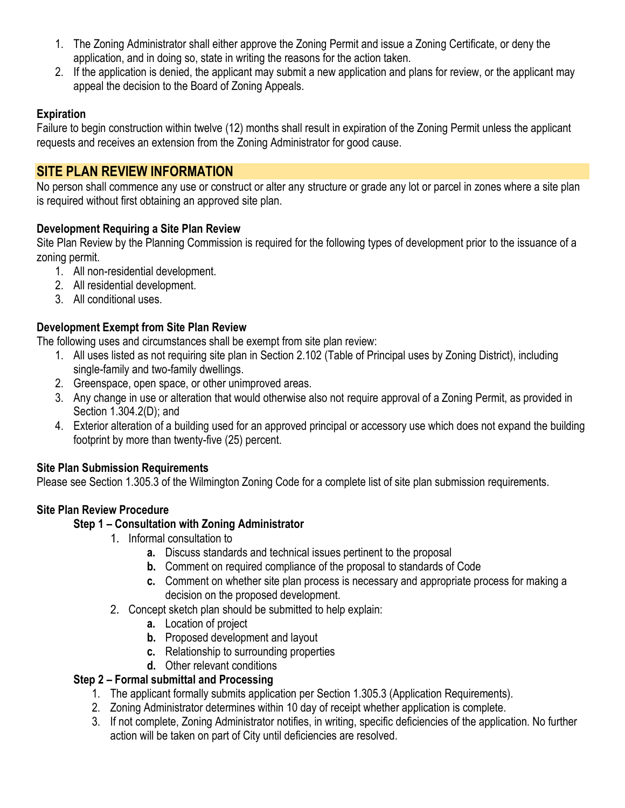- 1. The Zoning Administrator shall either approve the Zoning Permit and issue a Zoning Certificate, or deny the application, and in doing so, state in writing the reasons for the action taken.
- 2. If the application is denied, the applicant may submit a new application and plans for review, or the applicant may appeal the decision to the Board of Zoning Appeals.

## **Expiration**

Failure to begin construction within twelve (12) months shall result in expiration of the Zoning Permit unless the applicant requests and receives an extension from the Zoning Administrator for good cause.

## **SITE PLAN REVIEW INFORMATION**

No person shall commence any use or construct or alter any structure or grade any lot or parcel in zones where a site plan is required without first obtaining an approved site plan.

## **Development Requiring a Site Plan Review**

Site Plan Review by the Planning Commission is required for the following types of development prior to the issuance of a zoning permit.

- 1. All non-residential development.
- 2. All residential development.
- 3. All conditional uses.

## **Development Exempt from Site Plan Review**

The following uses and circumstances shall be exempt from site plan review:

- 1. All uses listed as not requiring site plan in Section 2.102 (Table of Principal uses by Zoning District), including single-family and two-family dwellings.
- 2. Greenspace, open space, or other unimproved areas.
- 3. Any change in use or alteration that would otherwise also not require approval of a Zoning Permit, as provided in Section 1.304.2(D); and
- 4. Exterior alteration of a building used for an approved principal or accessory use which does not expand the building footprint by more than twenty-five (25) percent.

## **Site Plan Submission Requirements**

Please see Section 1.305.3 of the Wilmington Zoning Code for a complete list of site plan submission requirements.

## **Site Plan Review Procedure**

## **Step 1 – Consultation with Zoning Administrator**

- 1. Informal consultation to
	- **a.** Discuss standards and technical issues pertinent to the proposal
	- **b.** Comment on required compliance of the proposal to standards of Code
	- **c.** Comment on whether site plan process is necessary and appropriate process for making a decision on the proposed development.
- 2. Concept sketch plan should be submitted to help explain:
	- **a.** Location of project
	- **b.** Proposed development and layout
	- **c.** Relationship to surrounding properties
	- **d.** Other relevant conditions

## **Step 2 – Formal submittal and Processing**

- 1. The applicant formally submits application per Section 1.305.3 (Application Requirements).
- 2. Zoning Administrator determines within 10 day of receipt whether application is complete.
- 3. If not complete, Zoning Administrator notifies, in writing, specific deficiencies of the application. No further action will be taken on part of City until deficiencies are resolved.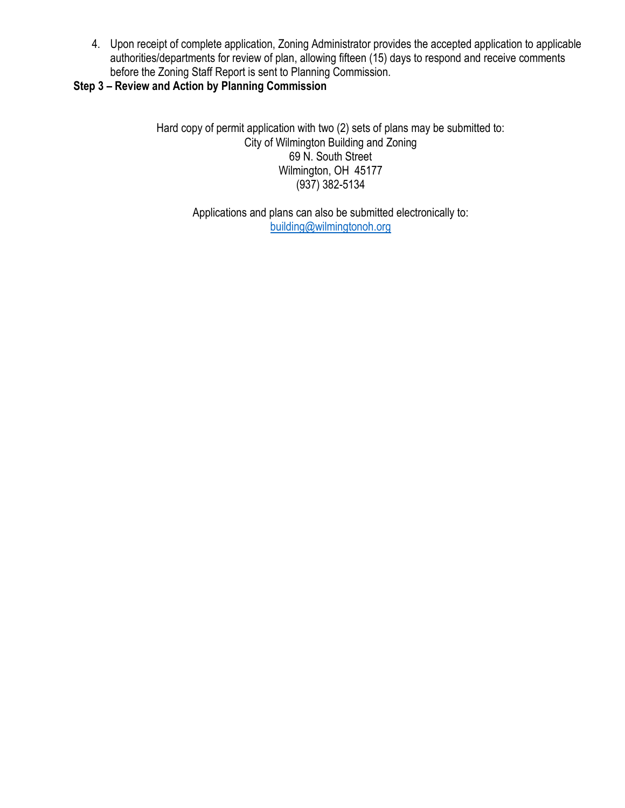4. Upon receipt of complete application, Zoning Administrator provides the accepted application to applicable authorities/departments for review of plan, allowing fifteen (15) days to respond and receive comments before the Zoning Staff Report is sent to Planning Commission.

## **Step 3 – Review and Action by Planning Commission**

Hard copy of permit application with two (2) sets of plans may be submitted to: City of Wilmington Building and Zoning 69 N. South Street Wilmington, OH 45177 (937) 382-5134

> Applications and plans can also be submitted electronically to: [building@wilmingtonoh.org](mailto:building@wilmingtonoh.org)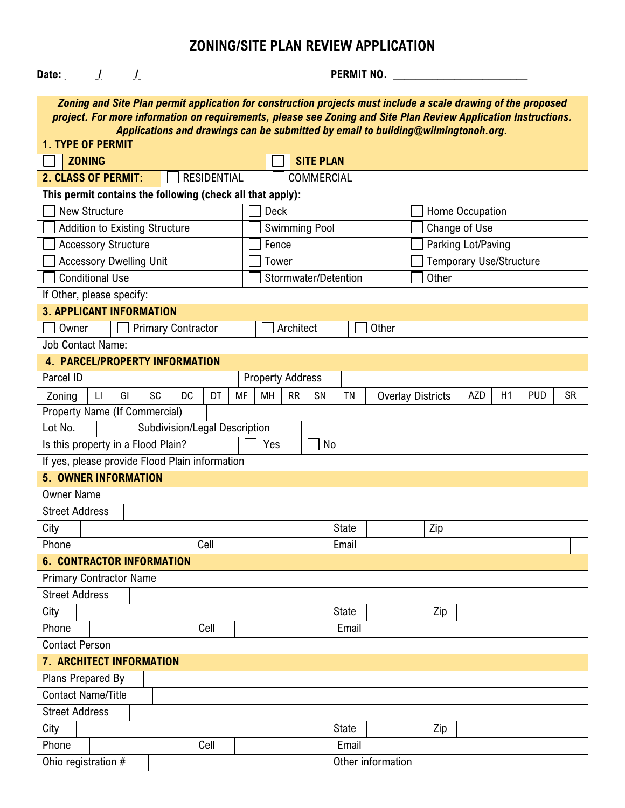# **ZONING/SITE PLAN REVIEW APPLICATION**

| Date: $\sqrt{2}$<br>$\overline{L}$                                                                              | PERMIT NO.                                                                                             |  |  |  |  |  |  |  |
|-----------------------------------------------------------------------------------------------------------------|--------------------------------------------------------------------------------------------------------|--|--|--|--|--|--|--|
| Zoning and Site Plan permit application for construction projects must include a scale drawing of the proposed  |                                                                                                        |  |  |  |  |  |  |  |
| project. For more information on requirements, please see Zoning and Site Plan Review Application Instructions. |                                                                                                        |  |  |  |  |  |  |  |
| Applications and drawings can be submitted by email to building@wilmingtonoh.org.<br><b>1. TYPE OF PERMIT</b>   |                                                                                                        |  |  |  |  |  |  |  |
| <b>ZONING</b>                                                                                                   | <b>SITE PLAN</b>                                                                                       |  |  |  |  |  |  |  |
| <b>2. CLASS OF PERMIT:</b><br><b>RESIDENTIAL</b><br>COMMERCIAL                                                  |                                                                                                        |  |  |  |  |  |  |  |
| This permit contains the following (check all that apply):                                                      |                                                                                                        |  |  |  |  |  |  |  |
| <b>New Structure</b>                                                                                            | <b>Deck</b><br>Home Occupation                                                                         |  |  |  |  |  |  |  |
| <b>Addition to Existing Structure</b>                                                                           | <b>Swimming Pool</b><br>Change of Use                                                                  |  |  |  |  |  |  |  |
| <b>Accessory Structure</b>                                                                                      | Parking Lot/Paving<br>Fence                                                                            |  |  |  |  |  |  |  |
| <b>Accessory Dwelling Unit</b>                                                                                  | <b>Temporary Use/Structure</b><br>Tower                                                                |  |  |  |  |  |  |  |
| <b>Conditional Use</b>                                                                                          | Stormwater/Detention<br>Other                                                                          |  |  |  |  |  |  |  |
| If Other, please specify:                                                                                       |                                                                                                        |  |  |  |  |  |  |  |
| <b>3. APPLICANT INFORMATION</b>                                                                                 |                                                                                                        |  |  |  |  |  |  |  |
| <b>Primary Contractor</b><br>Owner                                                                              | Architect<br>Other                                                                                     |  |  |  |  |  |  |  |
| <b>Job Contact Name:</b>                                                                                        |                                                                                                        |  |  |  |  |  |  |  |
| <b>4. PARCEL/PROPERTY INFORMATION</b>                                                                           |                                                                                                        |  |  |  |  |  |  |  |
| Parcel ID                                                                                                       | <b>Property Address</b>                                                                                |  |  |  |  |  |  |  |
| SC<br><b>DC</b><br>DT<br>$\mathsf{L}\mathsf{I}$<br>GI<br>Zoning<br>MF                                           | AZD<br>H1<br><b>PUD</b><br><b>SR</b><br>MH<br><b>RR</b><br>SN<br><b>TN</b><br><b>Overlay Districts</b> |  |  |  |  |  |  |  |
| Property Name (If Commercial)                                                                                   |                                                                                                        |  |  |  |  |  |  |  |
| Subdivision/Legal Description<br>Lot No.                                                                        |                                                                                                        |  |  |  |  |  |  |  |
| Is this property in a Flood Plain?                                                                              | No<br>Yes                                                                                              |  |  |  |  |  |  |  |
| If yes, please provide Flood Plain information                                                                  |                                                                                                        |  |  |  |  |  |  |  |
| <b>5. OWNER INFORMATION</b>                                                                                     |                                                                                                        |  |  |  |  |  |  |  |
| <b>Owner Name</b>                                                                                               |                                                                                                        |  |  |  |  |  |  |  |
| <b>Street Address</b>                                                                                           |                                                                                                        |  |  |  |  |  |  |  |
| City                                                                                                            | <b>State</b><br>Zip                                                                                    |  |  |  |  |  |  |  |
| Phone<br>Cell                                                                                                   | Email                                                                                                  |  |  |  |  |  |  |  |
| <b>6. CONTRACTOR INFORMATION</b>                                                                                |                                                                                                        |  |  |  |  |  |  |  |
| <b>Primary Contractor Name</b>                                                                                  |                                                                                                        |  |  |  |  |  |  |  |
| <b>Street Address</b>                                                                                           |                                                                                                        |  |  |  |  |  |  |  |
| City                                                                                                            | <b>State</b><br>Zip                                                                                    |  |  |  |  |  |  |  |
| Phone<br>Cell                                                                                                   | Email                                                                                                  |  |  |  |  |  |  |  |
| <b>Contact Person</b>                                                                                           |                                                                                                        |  |  |  |  |  |  |  |
| 7. ARCHITECT INFORMATION<br>Plans Prepared By                                                                   |                                                                                                        |  |  |  |  |  |  |  |
| <b>Contact Name/Title</b>                                                                                       |                                                                                                        |  |  |  |  |  |  |  |
| <b>Street Address</b>                                                                                           |                                                                                                        |  |  |  |  |  |  |  |
| City                                                                                                            | <b>State</b><br>Zip                                                                                    |  |  |  |  |  |  |  |
| Cell<br>Phone                                                                                                   | Email                                                                                                  |  |  |  |  |  |  |  |
| Ohio registration #                                                                                             | Other information                                                                                      |  |  |  |  |  |  |  |